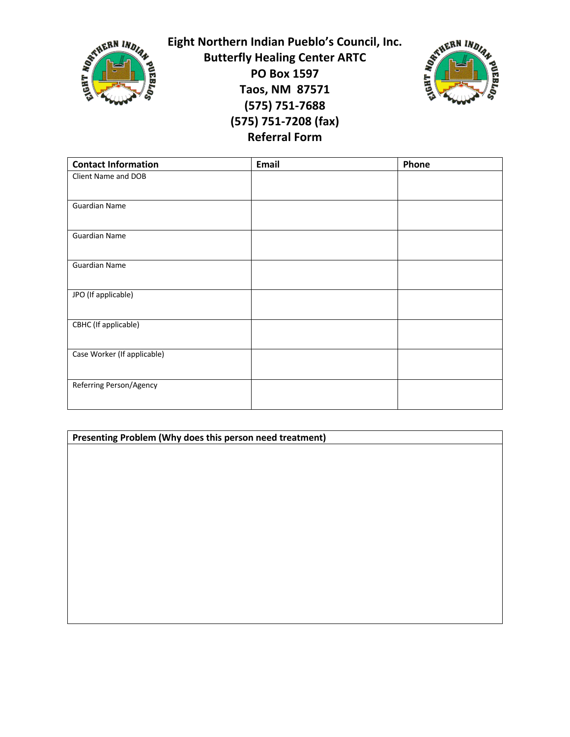



| <b>Contact Information</b>  | Email | Phone |
|-----------------------------|-------|-------|
| Client Name and DOB         |       |       |
|                             |       |       |
| <b>Guardian Name</b>        |       |       |
| <b>Guardian Name</b>        |       |       |
| <b>Guardian Name</b>        |       |       |
| JPO (If applicable)         |       |       |
| CBHC (If applicable)        |       |       |
| Case Worker (If applicable) |       |       |
| Referring Person/Agency     |       |       |

| Presenting Problem (Why does this person need treatment) |  |  |  |
|----------------------------------------------------------|--|--|--|
|                                                          |  |  |  |
|                                                          |  |  |  |
|                                                          |  |  |  |
|                                                          |  |  |  |
|                                                          |  |  |  |
|                                                          |  |  |  |
|                                                          |  |  |  |
|                                                          |  |  |  |
|                                                          |  |  |  |
|                                                          |  |  |  |
|                                                          |  |  |  |
|                                                          |  |  |  |
|                                                          |  |  |  |
|                                                          |  |  |  |
|                                                          |  |  |  |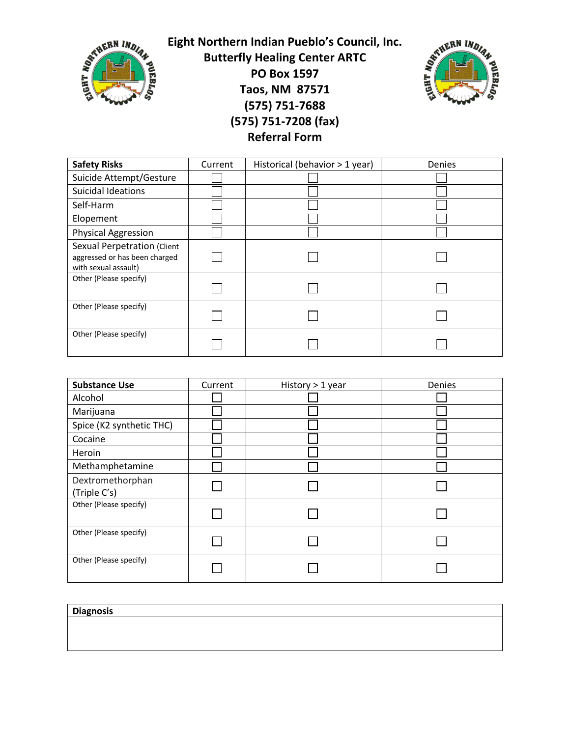



| <b>Safety Risks</b>                                                                  | Current | Historical (behavior > 1 year) | Denies |
|--------------------------------------------------------------------------------------|---------|--------------------------------|--------|
| Suicide Attempt/Gesture                                                              |         |                                |        |
| Suicidal Ideations                                                                   |         |                                |        |
| Self-Harm                                                                            |         |                                |        |
| Elopement                                                                            |         |                                |        |
| <b>Physical Aggression</b>                                                           |         |                                |        |
| Sexual Perpetration (Client<br>aggressed or has been charged<br>with sexual assault) |         |                                |        |
| Other (Please specify)                                                               |         |                                |        |
| Other (Please specify)                                                               |         |                                |        |
| Other (Please specify)                                                               |         |                                |        |

| <b>Substance Use</b>     | Current | History $> 1$ year | Denies |
|--------------------------|---------|--------------------|--------|
| Alcohol                  |         |                    |        |
| Marijuana                |         |                    |        |
| Spice (K2 synthetic THC) |         |                    |        |
| Cocaine                  |         |                    |        |
| Heroin                   |         |                    |        |
| Methamphetamine          |         |                    |        |
| Dextromethorphan         |         |                    |        |
| (Triple C's)             |         |                    |        |
| Other (Please specify)   |         |                    |        |
| Other (Please specify)   |         |                    |        |
| Other (Please specify)   |         |                    |        |

**Diagnosis**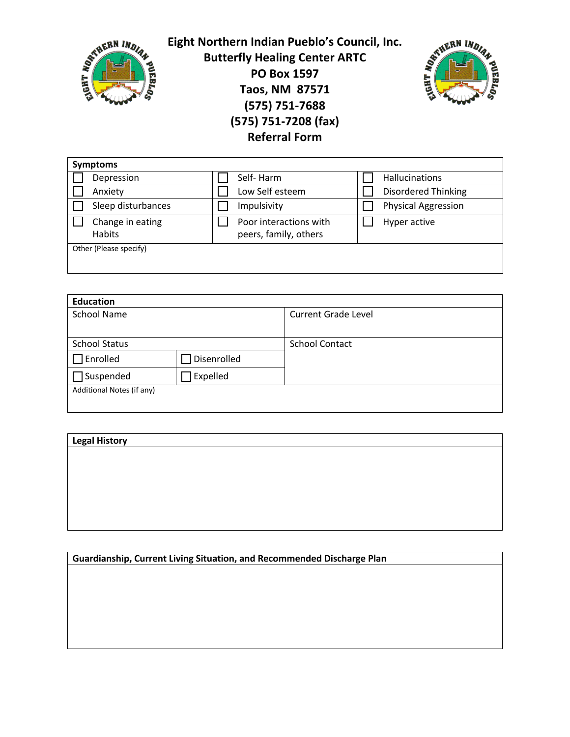



| <b>Symptoms</b>                   |                                                 |                            |
|-----------------------------------|-------------------------------------------------|----------------------------|
| Depression                        | Self-Harm                                       | <b>Hallucinations</b>      |
| Anxiety                           | Low Self esteem                                 | Disordered Thinking        |
| Sleep disturbances                | Impulsivity                                     | <b>Physical Aggression</b> |
| Change in eating<br><b>Habits</b> | Poor interactions with<br>peers, family, others | Hyper active               |
| Other (Please specify)            |                                                 |                            |

| <b>Education</b>          |             |                            |
|---------------------------|-------------|----------------------------|
| <b>School Name</b>        |             | <b>Current Grade Level</b> |
|                           |             |                            |
| <b>School Status</b>      |             | <b>School Contact</b>      |
| Enrolled                  | Disenrolled |                            |
| Suspended                 | Expelled    |                            |
| Additional Notes (if any) |             |                            |
|                           |             |                            |

## **Legal History**

## **Guardianship, Current Living Situation, and Recommended Discharge Plan**